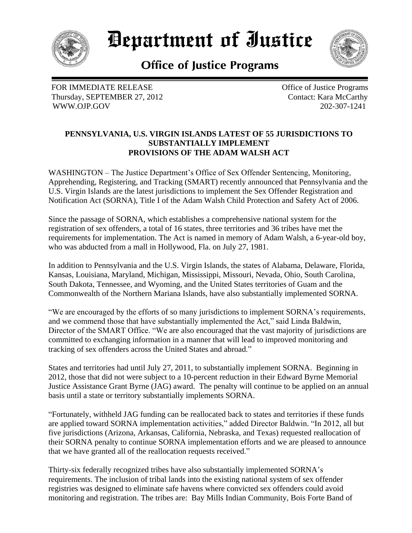

*Department of Iustice* 

**Office of Justice Programs** 

FOR IMMEDIATE RELEASE Thursday, SEPTEMBER 27, 2012 WWW.OJP.GOV

 Office of Justice Programs Contact: Kara McCarthy 202-307-1241

## **PENNSYLVANIA, U.S. VIRGIN ISLANDS LATEST OF 55 JURISDICTIONS TO SUBSTANTIALLY IMPLEMENT PROVISIONS OF THE ADAM WALSH ACT**

WASHINGTON – The Justice Department's Office of Sex Offender Sentencing, Monitoring, Apprehending, Registering, and Tracking (SMART) recently announced that Pennsylvania and the U.S. Virgin Islands are the latest jurisdictions to implement the Sex Offender Registration and Notification Act (SORNA), Title I of the Adam Walsh Child Protection and Safety Act of 2006.

Since the passage of SORNA, which establishes a comprehensive national system for the registration of sex offenders, a total of 16 states, three territories and 36 tribes have met the requirements for implementation. The Act is named in memory of Adam Walsh, a 6-year-old boy, who was abducted from a mall in Hollywood, Fla. on July 27, 1981.

In addition to Pennsylvania and the U.S. Virgin Islands, the states of Alabama, Delaware, Florida, Kansas, Louisiana, Maryland, Michigan, Mississippi, Missouri, Nevada, Ohio, South Carolina, South Dakota, Tennessee, and Wyoming, and the United States territories of Guam and the Commonwealth of the Northern Mariana Islands, have also substantially implemented SORNA.

"We are encouraged by the efforts of so many jurisdictions to implement SORNA's requirements, and we commend those that have substantially implemented the Act," said Linda Baldwin, Director of the SMART Office. "We are also encouraged that the vast majority of jurisdictions are committed to exchanging information in a manner that will lead to improved monitoring and tracking of sex offenders across the United States and abroad."

States and territories had until July 27, 2011, to substantially implement SORNA. Beginning in 2012, those that did not were subject to a 10-percent reduction in their Edward Byrne Memorial Justice Assistance Grant Byrne (JAG) award. The penalty will continue to be applied on an annual basis until a state or territory substantially implements SORNA.

"Fortunately, withheld JAG funding can be reallocated back to states and territories if these funds are applied toward SORNA implementation activities," added Director Baldwin. "In 2012, all but five jurisdictions (Arizona, Arkansas, California, Nebraska, and Texas) requested reallocation of their SORNA penalty to continue SORNA implementation efforts and we are pleased to announce that we have granted all of the reallocation requests received."

Thirty-six federally recognized tribes have also substantially implemented SORNA's requirements. The inclusion of tribal lands into the existing national system of sex offender registries was designed to eliminate safe havens where convicted sex offenders could avoid monitoring and registration. The tribes are: Bay Mills Indian Community, Bois Forte Band of